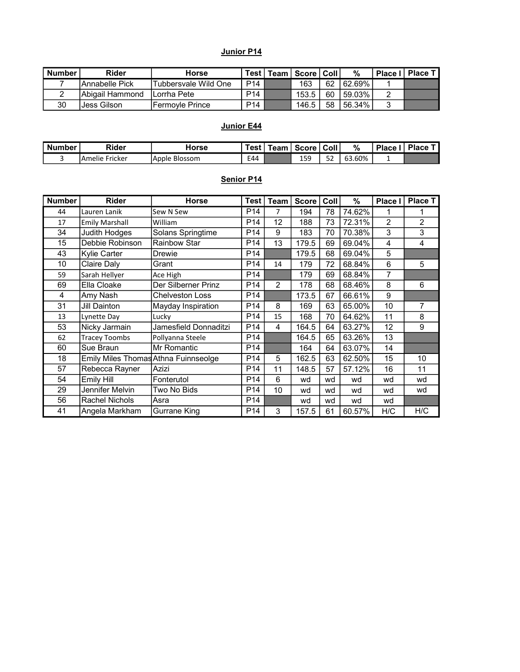#### Junior P14

| <b>Number</b> | Rider            | <b>Horse</b>            |                 | ⊤Test   Team   Score | ∣ Coll i | $\%$      | Place I   Place T |
|---------------|------------------|-------------------------|-----------------|----------------------|----------|-----------|-------------------|
|               | IAnnabelle Pick  | 'Tubbersvale Wild One   | P <sub>14</sub> | 163                  | 62       | 62.69%    |                   |
|               | IAbigail Hammond | ILorrha Pete            | P <sub>14</sub> | 153.5                | 60       | $59.03\%$ |                   |
| 30            | Jess Gilson      | <b>IFermoyle Prince</b> | P <sub>14</sub> | 146.5                | 58       | 56.34%    |                   |

## Junior E44

| <b>Number</b> | <b>Rider</b>            | Horse             | Test i | <b>feam</b> | Score | Coll <b>b</b> | %        | <b>Place</b> | <b>Place</b> |
|---------------|-------------------------|-------------------|--------|-------------|-------|---------------|----------|--------------|--------------|
|               | $ -$<br>TAmelie Fricker | Apple<br>-Blossom | E44    |             | 159   | 5O<br>ےر      | ა3.60% ' |              |              |

## Senior P14

| <b>Number</b> | <b>Rider</b>                         | <b>Horse</b>           | <b>Test</b>     | Team           | <b>Score</b> | Coll | %      | Place I | <b>Place T</b> |
|---------------|--------------------------------------|------------------------|-----------------|----------------|--------------|------|--------|---------|----------------|
| 44            | Lauren Lanik                         | Sew N Sew              | P <sub>14</sub> | 7              | 194          | 78   | 74.62% | 1       |                |
| 17            | <b>Emily Marshall</b>                | William                | P <sub>14</sub> | 12             | 188          | 73   | 72.31% | 2       | 2              |
| 34            | <b>Judith Hodges</b>                 | Solans Springtime      | P <sub>14</sub> | 9              | 183          | 70   | 70.38% | 3       | 3              |
| 15            | Debbie Robinson                      | <b>Rainbow Star</b>    | P <sub>14</sub> | 13             | 179.5        | 69   | 69.04% | 4       | 4              |
| 43            | Kylie Carter                         | <b>Drewie</b>          | P <sub>14</sub> |                | 179.5        | 68   | 69.04% | 5       |                |
| 10            | Claire Daly                          | Grant                  | P <sub>14</sub> | 14             | 179          | 72   | 68.84% | 6       | 5              |
| 59            | Sarah Hellyer                        | Ace High               | P <sub>14</sub> |                | 179          | 69   | 68.84% | 7       |                |
| 69            | Ella Cloake                          | Der Silberner Prinz    | P <sub>14</sub> | $\overline{c}$ | 178          | 68   | 68.46% | 8       | 6              |
| 4             | Amy Nash                             | <b>Chelveston Loss</b> | P <sub>14</sub> |                | 173.5        | 67   | 66.61% | 9       |                |
| 31            | <b>Jill Dainton</b>                  | Mayday Inspiration     | P <sub>14</sub> | 8              | 169          | 63   | 65.00% | 10      | 7              |
| 13            | Lynette Day                          | Lucky                  | P <sub>14</sub> | 15             | 168          | 70   | 64.62% | 11      | 8              |
| 53            | Nicky Jarmain                        | Jamesfield Donnaditzi  | P <sub>14</sub> | 4              | 164.5        | 64   | 63.27% | 12      | 9              |
| 62            | <b>Tracey Toombs</b>                 | Pollyanna Steele       | P <sub>14</sub> |                | 164.5        | 65   | 63.26% | 13      |                |
| 60            | Sue Braun                            | Mr Romantic            | P <sub>14</sub> |                | 164          | 64   | 63.07% | 14      |                |
| 18            | Emily Miles Thomas Athna Fuinnseolge |                        | P14             | 5              | 162.5        | 63   | 62.50% | 15      | 10             |
| 57            | Rebecca Rayner                       | Azizi                  | P <sub>14</sub> | 11             | 148.5        | 57   | 57.12% | 16      | 11             |
| 54            | <b>Emily Hill</b>                    | Fonterutol             | P <sub>14</sub> | 6              | wd           | wd   | wd     | wd      | wd             |
| 29            | Jennifer Melvin                      | Two No Bids            | P <sub>14</sub> | 10             | wd           | wd   | wd     | wd      | wd             |
| 56            | Rachel Nichols                       | Asra                   | P <sub>14</sub> |                | wd           | wd   | wd     | wd      |                |
| 41            | Angela Markham                       | Gurrane King           | P <sub>14</sub> | $\mathbf{3}$   | 157.5        | 61   | 60.57% | H/C     | H/C            |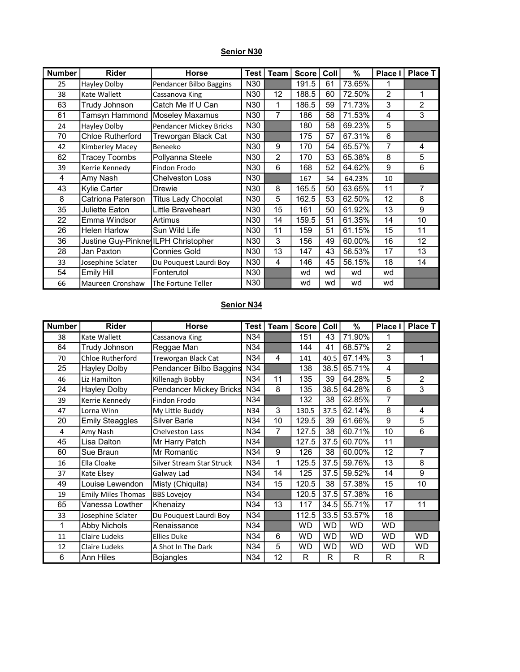## Senior N30

| <b>Number</b> | <b>Rider</b>                        | <b>Horse</b>               | <b>Test</b>     | Team           | <b>Score</b> | Coll | %      | Place I        | <b>Place T</b> |
|---------------|-------------------------------------|----------------------------|-----------------|----------------|--------------|------|--------|----------------|----------------|
| 25            | <b>Hayley Dolby</b>                 | Pendancer Bilbo Baggins    | N30             |                | 191.5        | 61   | 73.65% |                |                |
| 38            | Kate Wallett                        | Cassanova King             | N30             | 12             | 188.5        | 60   | 72.50% | $\overline{2}$ | 1              |
| 63            | Trudy Johnson                       | Catch Me If U Can          | N30             | 1              | 186.5        | 59   | 71.73% | 3              | $\overline{2}$ |
| 61            | Tamsyn Hammond                      | Moseley Maxamus            | N30             | 7              | 186          | 58   | 71.53% | 4              | 3              |
| 24            | Hayley Dolby                        | Pendancer Mickey Bricks    | N30             |                | 180          | 58   | 69.23% | 5              |                |
| 70            | <b>Chloe Rutherford</b>             | Treworgan Black Cat        | N30             |                | 175          | 57   | 67.31% | 6              |                |
| 42            | Kimberley Macey                     | Beneeko                    | N30             | 9              | 170          | 54   | 65.57% | 7              | 4              |
| 62            | <b>Tracey Toombs</b>                | Pollyanna Steele           | N30             | $\overline{2}$ | 170          | 53   | 65.38% | 8              | 5              |
| 39            | Kerrie Kennedy                      | Findon Frodo               | N30             | 6              | 168          | 52   | 64.62% | 9              | 6              |
| 4             | Amy Nash                            | <b>Chelveston Loss</b>     | N30             |                | 167          | 54   | 64.23% | 10             |                |
| 43            | Kylie Carter                        | <b>Drewie</b>              | N30             | 8              | 165.5        | 50   | 63.65% | 11             | 7              |
| 8             | Catriona Paterson                   | <b>Titus Lady Chocolat</b> | N30             | 5              | 162.5        | 53   | 62.50% | 12             | 8              |
| 35            | Juliette Eaton                      | Little Braveheart          | N30             | 15             | 161          | 50   | 61.92% | 13             | 9              |
| 22            | Emma Windsor                        | Artimus                    | N30             | 14             | 159.5        | 51   | 61.35% | 14             | 10             |
| 26            | <b>Helen Harlow</b>                 | Sun Wild Life              | N30             | 11             | 159          | 51   | 61.15% | 15             | 11             |
| 36            | Justine Guy-Pinkne ILPH Christopher |                            | N30             | 3              | 156          | 49   | 60.00% | 16             | 12             |
| 28            | Jan Paxton                          | <b>Connies Gold</b>        | N30             | 13             | 147          | 43   | 56.53% | 17             | 13             |
| 33            | Josephine Sclater                   | Du Pouquest Laurdi Boy     | N30             | 4              | 146          | 45   | 56.15% | 18             | 14             |
| 54            | <b>Emily Hill</b>                   | Fonterutol                 | N30             |                | wd           | wd   | wd     | wd             |                |
| 66            | Maureen Cronshaw                    | The Fortune Teller         | N <sub>30</sub> |                | wd           | wd   | wd     | wd             |                |

#### Senior N34

| <b>Number</b> | <b>Rider</b>              | <b>Horse</b>                   | <b>Test</b>     | Team l         | <b>Score</b> | Coll      | %         | Place I        | <b>Place T</b> |
|---------------|---------------------------|--------------------------------|-----------------|----------------|--------------|-----------|-----------|----------------|----------------|
| 38            | Kate Wallett              | Cassanova King                 | N34             |                | 151          | 43        | 71.90%    |                |                |
| 64            | Trudy Johnson             | Reggae Man                     | N34             |                | 144          | 41        | 68.57%    | $\overline{2}$ |                |
| 70            | <b>Chloe Rutherford</b>   | Treworgan Black Cat            | N34             | 4              | 141          | 40.5      | 67.14%    | 3              | 1              |
| 25            | <b>Hayley Dolby</b>       | Pendancer Bilbo Baggins        | N34             |                | 138          | 38.5      | 65.71%    | 4              |                |
| 46            | Liz Hamilton              | Killenagh Bobby                | N34             | 11             | 135          | 39        | 64.28%    | 5              | $\overline{2}$ |
| 24            | <b>Hayley Dolby</b>       | <b>Pendancer Mickey Bricks</b> | N34             | 8              | 135          | 38.5      | 64.28%    | 6              | 3              |
| 39            | Kerrie Kennedy            | Findon Frodo                   | N34             |                | 132          | 38        | 62.85%    | $\overline{7}$ |                |
| 47            | Lorna Winn                | My Little Buddy                | N34             | 3              | 130.5        | 37.5      | 62.14%    | 8              | 4              |
| 20            | <b>Emily Steaggles</b>    | Silver Barle                   | N34             | 10             | 129.5        | 39        | 61.66%    | 9              | 5              |
| 4             | Amy Nash                  | Chelveston Lass                | N34             | $\overline{7}$ | 127.5        | 38        | 60.71%    | 10             | $6\phantom{a}$ |
| 45            | Lisa Dalton               | Mr Harry Patch                 | N34             |                | 127.5        | 37.5      | 60.70%    | 11             |                |
| 60            | Sue Braun                 | <b>Mr Romantic</b>             | N34             | 9              | 126          | 38        | 60.00%    | 12             | $\overline{7}$ |
| 16            | Ella Cloake               | Silver Stream Star Struck      | N34             | 1              | 125.5        | 37.5      | 59.76%    | 13             | 8              |
| 37            | Kate Elsey                | Galway Lad                     | N34             | 14             | 125          | 37.5      | 59.52%    | 14             | 9              |
| 49            | Louise Lewendon           | Misty (Chiquita)               | N34             | 15             | 120.5        | 38        | 57.38%    | 15             | 10             |
| 19            | <b>Emily Miles Thomas</b> | <b>BBS Lovejoy</b>             | N34             |                | 120.5        | 37.5      | 57.38%    | 16             |                |
| 65            | Vanessa Lowther           | Khenaizy                       | N34             | 13             | 117          | 34.5      | 55.71%    | 17             | 11             |
| 33            | Josephine Sclater         | Du Pouquest Laurdi Boy         | N34             |                | 112.5        | 33.5      | 53.57%    | 18             |                |
| 1             | Abby Nichols              | Renaissance                    | N <sub>34</sub> |                | WD           | WD.       | <b>WD</b> | WD             |                |
| 11            | Claire Ludeks             | <b>Ellies Duke</b>             | N34             | 6              | WD           | <b>WD</b> | <b>WD</b> | WD             | WD             |
| 12            | Claire Ludeks             | A Shot In The Dark             | N34             | 5              | WD           | WD        | WD        | WD             | WD             |
| 6             | Ann Hiles                 | <b>Bojangles</b>               | N34             | 12             | R            | R         | R         | R              | R              |